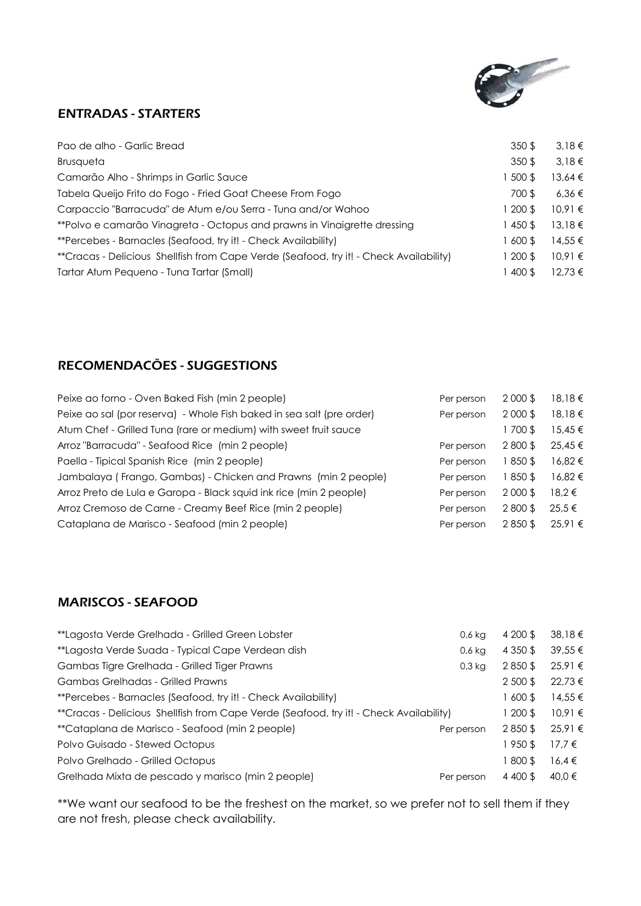

# ENTRADAS - STARTERS

| Pao de alho - Garlic Bread                                                             | 350S     | 3.18€       |
|----------------------------------------------------------------------------------------|----------|-------------|
| Brusqueta                                                                              | 350\$    | $3.18 \in$  |
| Camarão Alho - Shrimps in Garlic Sauce                                                 | 500\$    | 13.64 €     |
| Tabela Queijo Frito do Fogo - Fried Goat Cheese From Fogo                              | 700\$    | 6.36€       |
| Carpaccio "Barracuda" de Atum e/ou Serra - Tuna and/or Wahoo                           | 200 \$   | 10.91€      |
| **Polvo e camarão Vinagreta - Octopus and prawns in Vinaigrette dressing               | 1450\$   | 13,18€      |
| **Percebes - Barnacles (Seafood, try it! - Check Availability)                         | 1600\$   | 14.55 €     |
| **Cracas - Delicious Shellfish from Cape Verde (Seafood, try it! - Check Availability) | l 200 \$ | 10.91€      |
| Tartar Atum Pequeno - Tuna Tartar (Small)                                              | 400 \$   | $12.73 \in$ |

# RECOMENDACÕES - SUGGESTIONS

| Peixe ao forno - Oven Baked Fish (min 2 people)                       | Per person | 2 000 \$  | 18,18€     |
|-----------------------------------------------------------------------|------------|-----------|------------|
| Peixe ao sal (por reserva) - Whole Fish baked in sea salt (pre order) | Per person | 2 000 \$  | 18,18€     |
| Atum Chef - Grilled Tuna (rare or medium) with sweet fruit sauce      |            | 1700\$    | 15,45€     |
| Arroz "Barracuda" - Seafood Rice (min 2 people)                       | Per person | 2800\$    | 25.45 €    |
| Paella - Tipical Spanish Rice (min 2 people)                          | Per person | 1850\$    | 16.82 €    |
| Jambalaya (Frango, Gambas) - Chicken and Prawns (min 2 people)        | Per person | 1850\$    | 16.82€     |
| Arroz Preto de Lula e Garopa - Black squid ink rice (min 2 people)    | Per person | $2000$ \$ | $18.2 \in$ |
| Arroz Cremoso de Carne - Creamy Beef Rice (min 2 people)              | Per person | 2800\$    | $25.5 \in$ |
| Cataplana de Marisco - Seafood (min 2 people)                         | Per person | 2850\$    | 25.91€     |

# MARISCOS - SEAFOOD

| **Lagosta Verde Suada - Typical Cape Verdean dish<br>0,6 kg                            | 4 3 5 0 \$ | 39,55 €     |
|----------------------------------------------------------------------------------------|------------|-------------|
| Gambas Tigre Grelhada - Grilled Tiger Prawns<br>$0.3$ kg                               | 2850\$     | 25,91 €     |
| Gambas Grelhadas - Grilled Prawns                                                      | 2 500 \$   | $22.73 \in$ |
| **Percebes - Barnacles (Seafood, try it! - Check Availability)                         | 1600\$     | $14.55 \in$ |
| **Cracas - Delicious Shellfish from Cape Verde (Seafood, try it! - Check Availability) | $1200$ \$  | 10.91€      |
| **Cataplana de Marisco - Seafood (min 2 people)<br>Per person                          | 2850\$     | 25,91 €     |
| Polvo Guisado - Stewed Octopus                                                         | 1950\$     | 17.7€       |
| Polvo Grelhado - Grilled Octopus                                                       | 1800\$     | 16.4€       |
| Grelhada Mixta de pescado y marisco (min 2 people)<br>Per person                       | 4 400 \$   | 40.0 €      |

\*\*We want our seafood to be the freshest on the market, so we prefer not to sell them if they are not fresh, please check availability.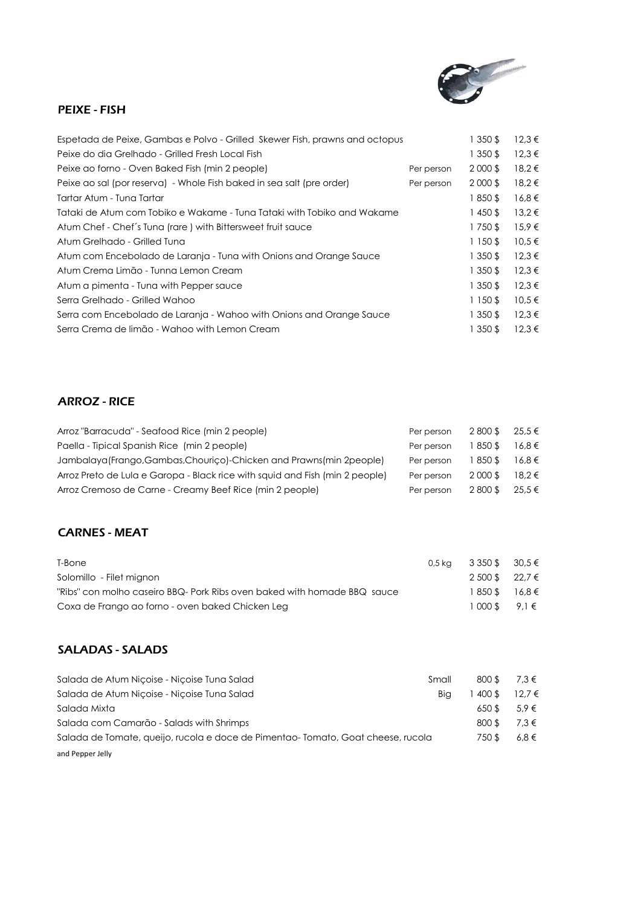

### PEIXE - FISH

| Espetada de Peixe, Gambas e Polvo - Grilled Skewer Fish, prawns and octopus |            | 1 350 \$ | $12,3 \in$ |
|-----------------------------------------------------------------------------|------------|----------|------------|
| Peixe do dia Grelhado - Grilled Fresh Local Fish                            |            | 1 350 \$ | $12.3 \in$ |
| Peixe ao forno - Oven Baked Fish (min 2 people)                             | Per person | 2 000 \$ | 18,2€      |
| Peixe ao sal (por reserva) - Whole Fish baked in sea salt (pre order)       | Per person | 2 000 \$ | 18,2€      |
| Tartar Atum - Tuna Tartar                                                   |            | 1850\$   | $16,8 \in$ |
| Tataki de Atum com Tobiko e Wakame - Tuna Tataki with Tobiko and Wakame     |            | 1450\$   | $13.2 \in$ |
| Atum Chef - Chef's Tuna (rare) with Bittersweet fruit sauce                 |            | 1750\$   | 15.9€      |
| Atum Grelhado - Grilled Tuna                                                |            | 1 150 \$ | $10,5 \in$ |
| Atum com Encebolado de Laranja - Tuna with Onions and Orange Sauce          |            | 1 350 \$ | $12.3 \in$ |
| Atum Crema Limão - Tunna Lemon Cream                                        |            | 1 350 \$ | $12.3 \in$ |
| Atum a pimenta - Tuna with Pepper sauce                                     |            | 1 350 \$ | $12,3 \in$ |
| Serra Grelhado - Grilled Wahoo                                              |            | 1 150 \$ | $10,5 \in$ |
| Serra com Encebolado de Laranja - Wahoo with Onions and Orange Sauce        |            | 1 350 \$ | $12.3 \in$ |
| Serra Crema de limão - Wahoo with Lemon Cream                               |            | 1 350 \$ | $12.3 \in$ |

## ARROZ - RICE

| Arroz "Barracuda" - Seafood Rice (min 2 people)                              | Per person | 2800\$   | 25.5 €     |
|------------------------------------------------------------------------------|------------|----------|------------|
| Paella - Tipical Spanish Rice (min 2 people)                                 | Per person | l 850 \$ | $16.8 \in$ |
| Jambalaya (Frango, Gambas, Chourico)-Chicken and Prawns (min 2people)        | Per person | 850\$    | 16.8€      |
| Arroz Preto de Lula e Garopa - Black rice with squid and Fish (min 2 people) | Per person | 2000\$   | $18.2 \in$ |
| Arroz Cremoso de Carne - Creamy Beef Rice (min 2 people)                     | Per person | 2800\$   | 25.5 €     |

### CARNES - MEAT

| T-Bone                                                                   | 0,5 kg 3 350 \$ 30,5 € |  |
|--------------------------------------------------------------------------|------------------------|--|
| Solomillo - Filet mignon                                                 | 2 500 \$ 22.7 €        |  |
| "Ribs" con molho caseiro BBQ- Pork Ribs oven baked with homade BBQ sauce | $1850$ \$ 16.8 €       |  |
| Coxa de Frango ao forno - oven baked Chicken Leg                         | $1000S$ 9.1 $\in$      |  |

### SALADAS - SALADS

| Salada de Atum Nicoise - Nicoise Tuna Salad                                     | Small | 800 \$ | 7,3 €      |
|---------------------------------------------------------------------------------|-------|--------|------------|
| Salada de Atum Niçoise - Niçoise Tuna Salad                                     | Bia   | 400 \$ | $12.7 \in$ |
| Salada Mixta                                                                    |       | 650S   | $5.9 \in$  |
| Salada com Camarão - Salads with Shrimps                                        |       | 800\$  | 7.3 €      |
| Salada de Tomate, queijo, rucola e doce de Pimentao-Tomato, Goat cheese, rucola |       | 750 \$ | $6.8 \in$  |
| and Pepper Jelly                                                                |       |        |            |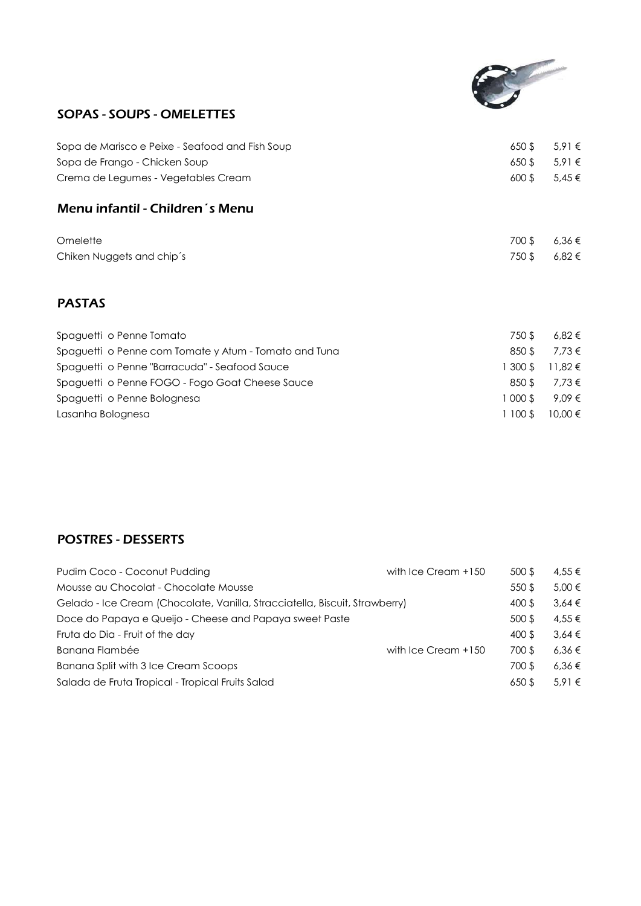

# SOPAS - SOUPS - OMELETTES

| Sopa de Marisco e Peixe - Seafood and Fish Soup | 650S  | $5.91 \in$ |
|-------------------------------------------------|-------|------------|
| Sopa de Frango - Chicken Soup                   | 650\$ | 5.91€      |
| Crema de Legumes - Vegetables Cream             | 600\$ | $5,45 \in$ |
| Menu infantil - Children's Menu                 |       |            |
| Omelette                                        | 700\$ | 6,36 €     |
| Chiken Nuggets and chip's                       | 750\$ | $6.82 \in$ |
|                                                 |       |            |

# PASTAS

| Spaguetti o Penne Tomato                              | 750 \$   | 6,82 €            |
|-------------------------------------------------------|----------|-------------------|
| Spaguetti o Penne com Tomate y Atum - Tomato and Tuna | $850$ \$ | 7.73 €            |
| Spaguetti o Penne "Barracuda" - Seafood Sauce         |          | 1300\$ 11,82€     |
| Spaguetti o Penne FOGO - Fogo Goat Cheese Sauce       | 850 \$   | 7.73 $\epsilon$   |
| Spaguetti o Penne Bolognesa                           |          | $1000$ \$ 9.09 €  |
| Lasanha Bolognesa                                     |          | $1100$ \$ 10.00 € |

# POSTRES - DESSERTS

| Pudim Coco - Coconut Pudding                                                | with Ice Cream +150 | 500 \$   | 4.55 €     |
|-----------------------------------------------------------------------------|---------------------|----------|------------|
| Mousse au Chocolat - Chocolate Mousse                                       |                     | 550\$    | 5.00 €     |
| Gelado - Ice Cream (Chocolate, Vanilla, Stracciatella, Biscuit, Strawberry) |                     | 400 \$   | $3.64 \in$ |
| Doce do Papaya e Queijo - Cheese and Papaya sweet Paste                     |                     | 500 \$   | 4.55 €     |
| Fruta do Dia - Fruit of the day                                             |                     | 400 \$   | $3.64 \in$ |
| Banana Flambée                                                              | with Ice Cream +150 | 700\$    | 6.36€      |
| Banana Split with 3 Ice Cream Scoops                                        |                     | 700\$    | 6.36€      |
| Salada de Fruta Tropical - Tropical Fruits Salad                            |                     | $650$ \$ | 5.91€      |
|                                                                             |                     |          |            |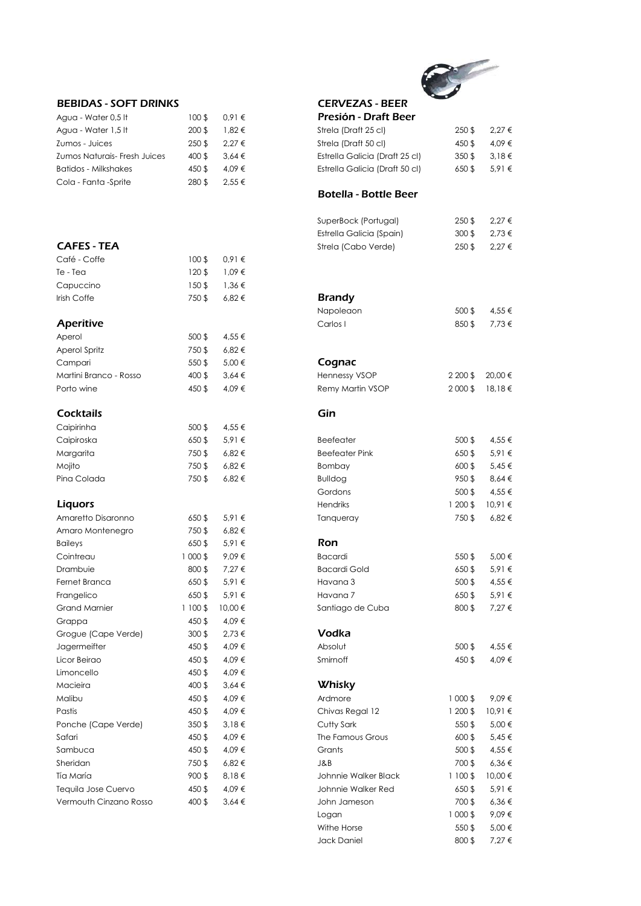# 

| <b>BEBIDAS - SOFT DRINKS</b>        |        |            | <b>CERVEZAS - BEER</b>       |
|-------------------------------------|--------|------------|------------------------------|
| Agua - Water 0,5 It                 | 100S   | $0.91 \in$ | Presión - Draft Beer         |
| Agua - Water 1,5 It                 | 200S   | $1.82 \in$ | Strela (Draft 25 cl)         |
| Zumos - Juices                      | 250 \$ | $2.27 \in$ | Strela (Draft 50 cl)         |
| <b>Zumos Naturais- Fresh Juices</b> | 400 \$ | $3.64 \in$ | Estrella Galicia (Draft 25 c |
| <b>Batidos - Milkshakes</b>         | 450 \$ | 4.09 €     | Estrella Galicia (Draft 50 c |
| Cola - Fanta - Sprite               | 280 \$ | $2.55 \in$ |                              |

#### CAFES - TEA

| Café - Coffe | 100S  | $0.91 \in$ |               |
|--------------|-------|------------|---------------|
| Te - Tea     | 120S  | $1.09 \in$ |               |
| Capuccino    | 150\$ | $1.36 \in$ |               |
| Irish Coffe  | 750\$ | $6.82 \in$ | <b>Brandy</b> |
|              |       |            | Napoleac      |
| Aperitive    |       |            | Carlos I      |
| Aperol       | 500\$ | 4,55 €     |               |

| ADEIOL                 | JUU D  | 9.OC.P     |            |
|------------------------|--------|------------|------------|
| Aperol Spritz          | 750\$  | $6.82 \in$ |            |
| Campari                | 550 \$ | 5.00 €     | Cognac     |
| Martini Branco - Rosso | 400 \$ | $3.64 \in$ | Hennessy ' |
| Porto wine             | 450 S  | 4.09 €     | Remy Mar   |

#### Cocktails

| Caipirinha             | 500\$    | 4,55 €     |                  |
|------------------------|----------|------------|------------------|
| Caipiroska             | 650\$    | 5,91 €     | Beefeater        |
| Margarita              | 750\$    | 6,82€      | Beefeater        |
| Mojito                 | 750\$    | 6,82€      | Bombay           |
| Pina Colada            | 750\$    | 6,82€      | <b>Bulldog</b>   |
|                        |          |            | Gordons          |
| <b>Liquors</b>         |          |            | <b>Hendriks</b>  |
| Amaretto Disaronno     | 650\$    | 5,91 €     | Tanqueray        |
| Amaro Montenegro       | 750\$    | $6,82 \in$ |                  |
| <b>Baileys</b>         | 650\$    | 5,91 €     | Ron              |
| Cointreau              | 1 000 \$ | 9,09€      | <b>Bacardi</b>   |
| Drambuie               | 800\$    | 7,27 €     | <b>Bacardi G</b> |
| Fernet Branca          | 650\$    | 5,91€      | Havana 3         |
| Frangelico             | 650\$    | 5,91€      | Havana 7         |
| <b>Grand Marnier</b>   | 1 100 \$ | 10,00€     | Santiago o       |
| Grappa                 | 450 \$   | 4,09€      |                  |
| Grogue (Cape Verde)    | $300$ \$ | 2,73 €     | Vodka            |
| Jagermeifter           | 450 \$   | 4,09€      | Absolut          |
| Licor Beirgo           | 450 \$   | 4,09€      | Smirnoff         |
| Limoncello             | 450 \$   | 4,09€      |                  |
| Macieira               | 400 \$   | $3,64 \in$ | Whisky           |
| Malibu                 | 450 \$   | 4,09€      | Ardmore          |
| Pastis                 | 450 \$   | 4,09€      | Chivas Re        |
| Ponche (Cape Verde)    | 350\$    | 3,18€      | Cutty Sark       |
| Safari                 | 450 \$   | 4,09€      | The Famor        |
| Sambuca                | 450 \$   | 4,09€      | Grants           |
| Sheridan               | 750\$    | 6,82€      | J&B              |
| Tía María              | 900\$    | 8,18€      | Johnnie W        |
| Tequila Jose Cuervo    | 450 \$   | 4,09 €     | Johnnie W        |
| Vermouth Cinzano Rosso | 400 \$   | $3,64 \in$ | John Jam         |
|                        |          |            |                  |

| <b>BEBIDAS - SOFT DRINKS</b> |          |            | <b>CERVEZAS - BEER</b>         |           |            |
|------------------------------|----------|------------|--------------------------------|-----------|------------|
| Agua - Water 0,5 lt          | $100$ \$ | 0,91€      | Presión - Draft Beer           |           |            |
| Agua - Water 1,5 lt          | 200 \$   | 1,82€      | Strela (Draft 25 cl)           | 250\$     | $2,27 \in$ |
| Zumos - Juices               | $250$ \$ | 2,27 €     | Strela (Draft 50 cl)           | 450 \$    | 4,09 €     |
| Zumos Naturais- Fresh Juices | 400 \$   | $3,64 \in$ | Estrella Galicia (Draft 25 cl) | 350\$     | 3,18€      |
| <b>Batidos - Milkshakes</b>  | 450 \$   | 4,09 €     | Estrella Galicia (Draft 50 cl) | 650\$     | $5,91 \in$ |
| Cola - Fanta -Sprite         | 280 \$   | 2,55 €     |                                |           |            |
|                              |          |            | <b>Botella - Bottle Beer</b>   |           |            |
|                              |          |            |                                |           |            |
|                              |          |            | SuperBock (Portugal)           | 250\$     | 2,27 €     |
|                              |          |            | Estrella Galicia (Spain)       | 300\$     | $2,73 \in$ |
| <b>CAFES - TEA</b>           |          |            | Strela (Cabo Verde)            | $250$ \$  | 2,27 €     |
| Café - Coffe                 | $100$ \$ | 0,91€      |                                |           |            |
| Te - Tea                     | 120\$    | $1,09 \in$ |                                |           |            |
| Capuccino                    | $150$ \$ | 1,36€      |                                |           |            |
| Irish Coffe                  | 750\$    | $6,82 \in$ | <b>Brandy</b>                  |           |            |
|                              |          |            | Napoleaon                      | 500\$     | 4,55 €     |
| <b>Aperitive</b>             |          |            | Carlos I                       | 850\$     | 7,73 €     |
| Aperol                       | $500$ \$ | 4,55 €     |                                |           |            |
| <b>Aperol Spritz</b>         | 750\$    | $6,82 \in$ |                                |           |            |
| Campari                      | 550\$    | 5,00 €     | Cognac                         |           |            |
| Martini Branco - Rosso       | 400 \$   | 3,64€      | Hennessy VSOP                  | 2 200 \$  | 20,00€     |
| Porto wine                   | 450 \$   | 4,09 €     | Remy Martin VSOP               | 2 000 \$  | 18,18€     |
| Cocktails                    |          |            | Gin                            |           |            |
| Caipirinha                   | $500$ \$ | 4,55 €     |                                |           |            |
| Caipiroska                   | 650\$    | 5,91€      | <b>Beefeater</b>               | $500$ \$  | 4,55 €     |
| Margarita                    | 750\$    | $6,82 \in$ | <b>Beefeater Pink</b>          | 650\$     | 5,91€      |
| Mojito                       | 750\$    | $6,82 \in$ | Bombay                         | $600$ \$  | $5,45 \in$ |
| Pina Colada                  | 750\$    | $6,82 \in$ | <b>Bulldog</b>                 | 950\$     | $8,64 \in$ |
|                              |          |            | Gordons                        | $500$ \$  | 4,55 €     |
| <b>Liquors</b>               |          |            | <b>Hendriks</b>                | $1200$ \$ | 10,91€     |
| Amaretto Disaronno           | 650\$    | 5,91 €     | Tanqueray                      | 750\$     | $6,82 \in$ |
| Amaro Montenegro             | 750\$    | $6,82 \in$ |                                |           |            |
| <b>Baileys</b>               | 650\$    | 5,91€      | Ron                            |           |            |
| Cointreau                    | 1 000 \$ | 9,09€      | <b>Bacardi</b>                 | 550\$     | 5,00 €     |
| Drambuie                     | 800\$    | 7,27 €     | <b>Bacardi Gold</b>            | 650\$     | 5,91 €     |
| Fernet Branca                | 650\$    | 5,91 €     | Havana 3                       | $500$ \$  | 4,55 €     |
| Frangelico                   | 650\$    | 5,91 €     | Havana 7                       | 650\$     | $5,91 \in$ |
| <b>Grand Marnier</b>         | 1 100 \$ | 10,00 €    | Santiago de Cuba               | 800\$     | 7,27 €     |
| Grappa                       | 450 \$   | 4,09€      |                                |           |            |
| Grogue (Cape Verde)          | $300$ \$ | 2,73 €     | Vodka                          |           |            |
| Jagermeifter                 | 450 \$   | 4,09 €     | Absolut                        | $500$ \$  | 4,55 €     |
| Licor Beirao                 | 450 \$   | 4,09 €     | Smirnoff                       | 450 \$    | 4,09 €     |
| Limoncello                   | 450 \$   | 4,09€      |                                |           |            |
| Macieira                     | 400 \$   | 3,64€      | <b>Whisky</b>                  |           |            |
| Malibu                       | 450 \$   | 4,09€      | Ardmore                        | 1 000 \$  | 9,09€      |
| Pastis                       | 450 \$   | 4,09 €     | Chivas Regal 12                | $1200$ \$ | 10,91€     |
| Ponche (Cape Verde)          | $350$ \$ | 3,18€      | Cutty Sark                     | $550$ \$  | 5,00 €     |
| Safari                       | 450 \$   | 4,09 €     | The Famous Grous               | $600$ \$  | $5,45 \in$ |
| Sambuca                      | 450 \$   | 4,09 €     | Grants                         | $500$ \$  | 4,55 €     |
| Sheridan                     | 750\$    | $6,82 \in$ | J&B                            | 700\$     | $6,36 \in$ |
| Tía María                    | 900\$    | 8,18€      | Johnnie Walker Black           | $1100$ \$ | 10,00€     |
| Tequila Jose Cuervo          | 450 \$   | 4,09 €     | Johnnie Walker Red             | 650\$     | $5,91 \in$ |
| Vermouth Cinzano Rosso       | 400 \$   | $3,64 \in$ | John Jameson                   | 700\$     | 6,36€      |
|                              |          |            |                                |           |            |

Logan 1 000 \$ 9,09 € Withe Horse  $550 \text{ } \frac{6}{500} \in 5,00 \in$ Jack Daniel  $800 \text{ $}7,27 \in$